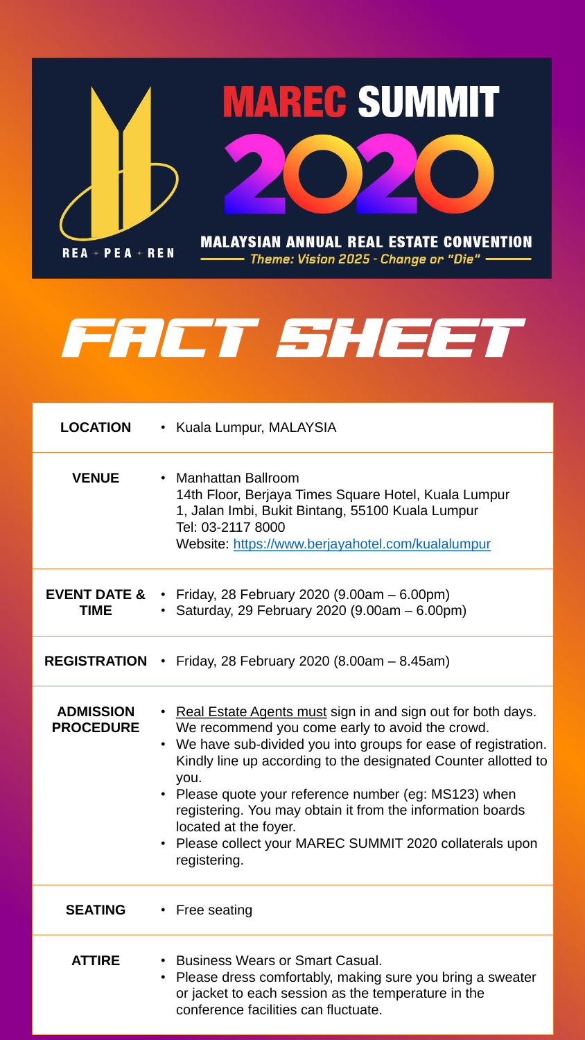

PEA **REN**  $REA +$ 

Theme: Vision 2025 - Change or "Die" —



# SENT SHERI

### **LOCATION** • Kuala Lumpur, MALAYSIA

**VENUE** • Manhattan Ballroom 14th Floor, Berjaya Times Square Hotel, Kuala Lumpur 1, Jalan Imbi, Bukit Bintang, 55100 Kuala Lumpur

> Tel: 03-2117 8000 Website: <https://www.berjayahotel.com/kualalumpur>

### **EVENT DATE & TIME** • Friday, 28 February 2020 (9.00am – 6.00pm) • Saturday, 29 February 2020 (9.00am – 6.00pm)

### **REGISTRATION** • Friday, 28 February 2020 (8.00am – 8.45am)

**ADMISSION PROCEDURE**

- Real Estate Agents must sign in and sign out for both days. We recommend you come early to avoid the crowd.
- We have sub-divided you into groups for ease of registration. Kindly line up according to the designated Counter allotted to you.
- 
- Please quote your reference number (eg: MS123) when registering. You may obtain it from the information boards located at the foyer.
- Please collect your MAREC SUMMIT 2020 collaterals upon registering.

### **SEATING** • Free seating

- **ATTIRE** Business Wears or Smart Casual.
	- Please dress comfortably, making sure you bring a sweater or jacket to each session as the temperature in the conference facilities can fluctuate.